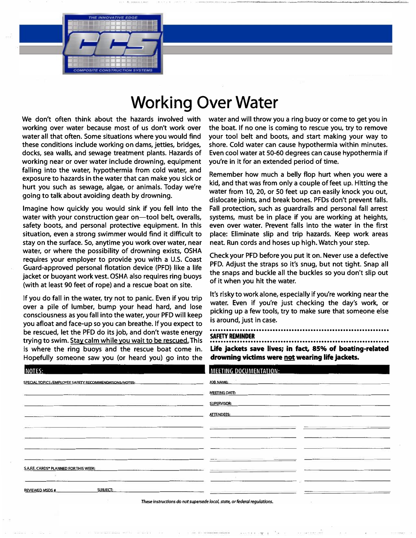## **Working Over Water**

We don't often think about the hazards involved with working over water because most of us don't work over water all that often. Some situations where you would find these conditions include working on dams, jetties, bridges, docks, sea walls, and sewage treatment plants. Hazards of working near or over water include drowning, equipment falling into the water, hypothermia from cold water, and exposure to hazards in the water that can make you sick or hurt you such as sewage, algae, or animals. Today we're going to talk about avoiding death by drowning.

Imagine how quickly you would sink if you fell into the water with your construction gear on-tool belt, overalls, safety boots, and personal protective equipment. In this situation, even a strong swimmer would find it difficult to stay on the surface. So, anytime you work over water, near water, or where the possibility of drowning exists, OSHA requires your employer to provide you with a U.S. Coast Guard-approved personal flotation device (PFD) like a life jacket or buoyant work vest. OSHA also requires ring buoys (with at least 90 feet of rope) and a rescue boat on site.

If you do fall in the water, try not to panic. Even if you trip over a pile of lumber, bump your head hard, and lose consciousness as you fall into the water, your PFD will keep you afloat and face-up so you can breathe. If you expect to be rescued, let the PFD do its job, and don't waste energy trying to swim. Stay calm while you wait to be rescued. This is where the ring buoys and the rescue boat come in. Hopefully someone saw you (or heard you) go into the

water and will throw you a ring buoy or come to get you in the boat. If no one is coming to rescue you, try to remove your tool belt and boots, and start making your way to shore. Cold water can cause hypothermia within minutes. Even cool water at 50-60 degrees can cause hypothermia if you're in it for an extended period of time.

Remember how much a belly flop hurt when you were a kid, and that was from only a couple of feet up. Hitting the water from 10, 20, or 50 feet up can easily knock you out, dislocate joints, and break bones. PFDs don't prevent falls. Fall protection, such as guardrails and personal fall arrest systems, must be in place if you are working at heights, even over water. Prevent falls into the water in the first place: Eliminate slip and trip hazards. Keep work areas neat. Run cords and hoses up high. Watch your step.

Check your PFD before you put it on. Never use a defective PFD. Adjust the straps so it's snug, but not tight. Snap all the snaps and buckle all the buckles so you don't slip out of it when you hit the water.

It's risky to work alone, especially if you're working near the water. Even if you're just checking the day's work, or picking up a few tools, try to make sure that someone else is around, just in case.

.................................................................. **SAFETY REMINDER**  ..................................................................

**Life jackets save lives; in fact, 85% of boating-related drowning victims were not wearing life jackets.** 

| NOTES:                                                                                                                                                                                                                                  | <b>MEETING DOCUMENTATION:</b>                                                                                                                                                                                                       |
|-----------------------------------------------------------------------------------------------------------------------------------------------------------------------------------------------------------------------------------------|-------------------------------------------------------------------------------------------------------------------------------------------------------------------------------------------------------------------------------------|
| SPECIAL TOPICS/EMPLOYEE SAFETY RECOMMENDATIONS/NOTES: The material contract of the state of the state of the state of the state of the state of the state of the state of the state of the state of the state of the state of<br>$\sim$ | <b>JOB NAME:</b> And the contract of the contract of the contract of the contract of the contract of the contract of the contract of the contract of the contract of the contract of the contract of the contract of the contract o |
|                                                                                                                                                                                                                                         | MEETING DATE:                                                                                                                                                                                                                       |
|                                                                                                                                                                                                                                         | SUPERVISOR:                                                                                                                                                                                                                         |
|                                                                                                                                                                                                                                         | <b>ATTENDEES:</b>                                                                                                                                                                                                                   |
|                                                                                                                                                                                                                                         |                                                                                                                                                                                                                                     |
|                                                                                                                                                                                                                                         |                                                                                                                                                                                                                                     |
|                                                                                                                                                                                                                                         |                                                                                                                                                                                                                                     |
|                                                                                                                                                                                                                                         |                                                                                                                                                                                                                                     |
| S.A.F.E. CARDS® PLANNED FOR THIS WEEK:                                                                                                                                                                                                  |                                                                                                                                                                                                                                     |
|                                                                                                                                                                                                                                         |                                                                                                                                                                                                                                     |
| SUBJECT:<br><b>REVIEWED MSDS #</b>                                                                                                                                                                                                      | ------                                                                                                                                                                                                                              |

*These instructions do not supersede /ooof, state, or federal regulations.*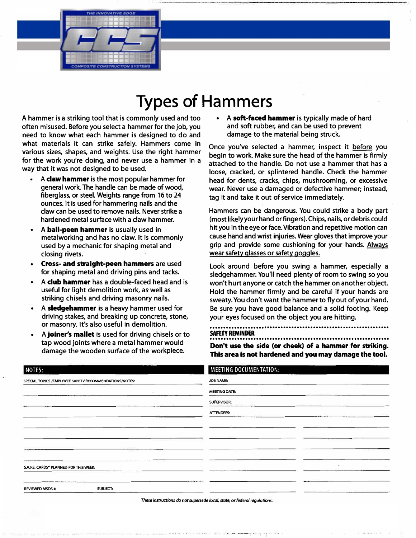# **Types of Hammers**

**A hammer is a striking tool that is commonly used and too often misused. Before you select a hammer for the job, you need to know what each hammer is designed to do and what materials it can strike safely. Hammers come in various sizes, shapes, and weights. Use the right hammer for the work you're doing, and never use a hammer in a way that it was not designed to be used.** 

- **• A claw hammer is the most popular hammer for general work. The handle can be made of wood, fiberglass, or steel. Weights range from 16 to 24 ounces. It is used for hammering nails and the claw can be used to remove nails. Never strike a hardened metal surface with a claw hammer.**
- **• A ball-peen hammer is usually used in metalworking and has no claw. It is commonly used by a mechanic for shaping metal and closing rivets.**
- **• Cross- and straight-peen hammers are used for shaping metal and driving pins and tacks.**
- **• A club hammer has a double-faced head and is useful for light demolition work, as well as striking chisels and driving masonry nails.**
- **• A sledgehammer is a heavy hammer used for driving stakes, and breaking up concrete, stone, or masonry. It's also useful in demolition.**
- **• A joiner's mallet is used for driving chisels or to tap wood joints where a metal hammer would damage the wooden surface of the workpiece.**

**• A soft-faced hammer is typically made of hard and soft rubber, and can be used to prevent damage to the material being struck.**

**Once you've selected a hammer, inspect it before you begin to work. Make sure the head of the hammer is firmly attached to the handle. Do not use a hammer that has a loose, cracked, or splintered handle. Check the hammer head for dents, cracks, chips, mushrooming, or excessive wear. Never use a damaged or defective hammer; instead, tag it and take it out of service immediately.** 

**Hammers can be dangerous. You could strike a body part (most likely your hand or fingers). Chips, nails, or debris could hit you in the eye or face. Vibration and repetitive motion can cause hand and wrist injuries. Wear gloves that improve your grip and provide some cushioning for your hands. Always wear safety glasses or safety goggles.** 

**Look around before you swing a hammer, especially a sledgehammer. You'll need plenty of room to swing so you won't hurt anyone or catch the hammer on another object. Hold the hammer firmly and be careful if your hands are sweaty. You don't want the hammer to fly out of your hand. Be sure you have good balance and a solid footing. Keep your eyes focused on the object you are hitting.** 

#### . ................................................................ . **SAFETY REMINDER**

.................................................................. **Don't use the side (or cheek) of a hammer for striking. This area is not hardened and you may damage the tool.** 

| MEETING DOCUMENTATION: |
|------------------------|
| JOB NAME:              |
| <b>MEETING DATE:</b>   |
| SUPERVISOR:            |
| <b>ATTENDEES:</b>      |
|                        |
|                        |
|                        |
|                        |
|                        |
|                        |

*These instructions do not supersede local, state,* **or** *federal regulations.* 

-- -------,-' - ·1-·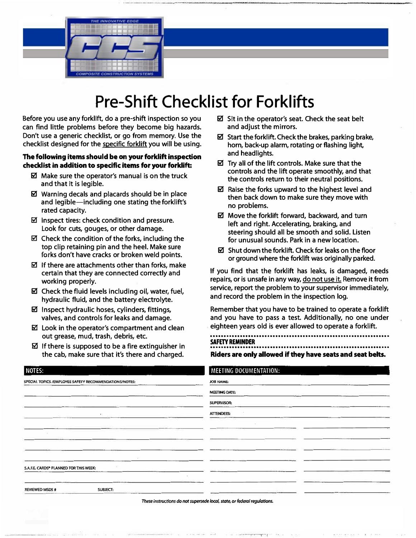

# **Pre-Shift Checklist for Forklifts**

**Before you use any forklift, do a pre-shift inspection so you can find little problems before they become big hazards. Don't use a generic checklist, or go from memory. Use the checklist designed for the specific forklift you will be using.** 

### The following items should be on your forklift inspection **checklist in addition to specific items for your forklift:**

- **Ii!! Make sure the operator's manual is on the truck and that it is legible.**
- **Ii!! Warning decals and placards should be in place and legible-including one stating the forklift's rated capacity.**
- **Ii!! Inspect tires: check condition and pressure. Look for cuts, gouges, or other damage.**
- **Ii!! Check the condition of the forks, including the top clip retaining pin and the heel. Make sure forks don't have cracks or broken weld points.**
- $\boldsymbol{Z}$  **If there are attachments other than forks, make certain that they are connected correctly and working properly.**
- **Ii!! Check the fluid levels including oil, water, fuel, hydraulic fluid, and the battery electrolyte.**
- **Ii!! Inspect hydraulic hoses, cylinders, fittings, valves, and controls for leaks and damage.**
- **II** Look in the operator's compartment and clean **out grease, mud, trash, debris, etc.**
- **If there is supposed to be a fire extinguisher in the cab, make sure that it's there and charged.**
- $**✓**$  **Sit in the operator's seat. Check the seat belt and adjust the mirrors.**
- **Ii!! Start the forklift. Check the brakes, parking brake, horn, back-up alarm, rotating or flashing light, and headlights.**
- **Ii!! Try all of the lift controls. Make sure that the controls and the lift operate smoothly, and that the controls return to their neutral positions.**
- Raise the forks upward to the highest level and **then back down to make sure they move with no problems.**
- $\boxtimes$  Move the forklift forward, backward, and turn **left and right. Accelerating, braking, and steering should all be smooth and solid. Listen for unusual sounds. Park in a new location.**
- **Ii!! Shut down the forklift. Check for leaks on the floor or ground where the forklift was originally parked.**

**If you find that the forklift has leaks, is damaged, needs repairs, or is unsafe in any way, do not use it. Remove it from service, report the problem to your supervisor immediately, and record the problem in the inspection log.** 

**Remember that you have to be trained to operate a forklift and you have to pass a test. Additionally, no one under eighteen years old is ever allowed to operate a forklift.** 

. ................................................................ . **SAFETY REMINDER**  .................................................................. **Riders are only allowed if they have seats and seat belts.** 

| NOTES:                                                                                                                      | MEETING DOCUMENTATION:                                                    |
|-----------------------------------------------------------------------------------------------------------------------------|---------------------------------------------------------------------------|
| SPECIAL TOPICS / EMPLOYEE SAFETY RECOMMENDATIONS/NOTES:<br><u> Silaya ya matu m</u> a<br>Control of the Control of the Con- | <b>JOB NAME:</b>                                                          |
|                                                                                                                             | <b>MEETING DATE:</b>                                                      |
|                                                                                                                             | SUPERVISOR:                                                               |
|                                                                                                                             | <b>ATTENDEES:</b>                                                         |
|                                                                                                                             |                                                                           |
|                                                                                                                             |                                                                           |
|                                                                                                                             |                                                                           |
| <b>S.A.F.E. CARDS® PLANNED FOR THIS WEEK:</b>                                                                               | comments and states                                                       |
|                                                                                                                             |                                                                           |
| SUBJECT:<br><b>REVIEWED MSDS #</b>                                                                                          |                                                                           |
|                                                                                                                             | These instructions do not supersede local, state, or federal regulations. |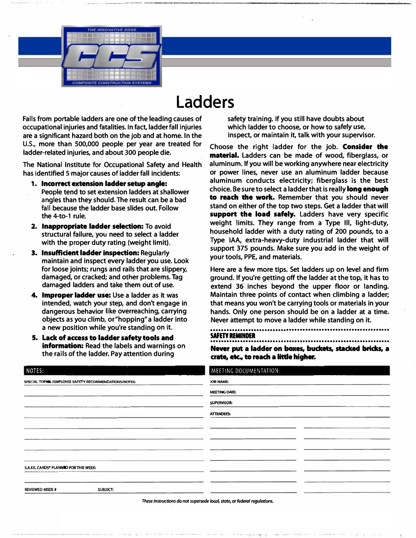

## **Ladders**

**Falls from portable ladders are one of the leading causes of occupational injuries and fatalities. In fact, ladder fall injuries are a significant hazard both on the job and at home. In the U.S., more than 500,000 people per year are treated for ladder-related injuries, and about 300 people die.**

**The National Institute for Occupational Safety and Health has identified 5 major causes of ladder fall incidents:** 

- **1, Incorrect extension ladder setup angle: People tend to set extension ladders at shallower angles than they should. The result can be a bad fall because the ladder base slides out. Follow the 4-to-1 rule.**
- **2. Inappropriate ladder selection: To avoid structural failure, you need to select a ladder with the proper duty rating (weight limit).**
- **3. Insufficient ladder inspection: Regularly maintain and inspect every ladder you use. Look for loose joints; rungs and rails that are slippery, damaged, or cracked; and other problems. Tag damaged ladders and take them out of use.**
- **4. Improper ladder use: Use a ladder as it was intended, watch your step, and don't engage in dangerous behavior like overreaching, carrying objects as you climb, or "hopping" a ladder into a new position while you're standing on it.**
- **5. Lack of access to ladder safety tools and information: Read the labels and warnings on the rails of the ladder. Pay attention during**

**safety training. If you still have doubts about which ladder to choose, or how to safely use, inspect, or maintain it, talk with your supervisor.** 

**Choose the right ladder for the job. Consider the material. Ladders can be made of wood, fiberglass, or aluminum. If you will be working anywhere near electricity or power lines, never use an aluminum ladder because aluminum conducts electricity; fiberglass is the best choice. Be sure to select a ladder that is really long enough to reach the work. Remember that you should never stand on either of the top two steps. Get a ladder that will support the load safely. Ladders have very specific weight limits. They range from a Type Ill, light-duty, household ladder with a duty rating of 200 pounds, to a Type IAA, extra-heavy-duty industrial ladder that will support 375 pounds. Make sure you add in the weight of your tools, PPE, and materials.** 

**Here are a few more tips. Set ladders up on level and firm ground. If you're getting off the ladder at the top, it has to extend 36 inches beyond the upper floor or landing. Maintain three points of contact when climbing a ladder; that means you won't be carrying tools or materials in your hands. Only one person should be on a ladder at a time. Never attempt to move a ladder while standing on it.** 

### . .................•.•••••..................................•...... **SAFETY REMINDER** ..................••••.•.•..................................•.....

**Never put a ladder on boxes, buckets, stacked bricks, a crate, etc., to reach a little higher.** 

| NOTES:                                                | MEETING DOCUMENTATION:                                                    |
|-------------------------------------------------------|---------------------------------------------------------------------------|
| SPECIAL TOPICS/EMPLOYEE SAFETY RECOMMENDATIONS/NOTES: | JOB NAME:                                                                 |
|                                                       | <b>MEETING DATE:</b>                                                      |
|                                                       | SUPERVISOR:                                                               |
|                                                       | <b>ATTENDEES:</b>                                                         |
|                                                       |                                                                           |
|                                                       |                                                                           |
|                                                       |                                                                           |
|                                                       |                                                                           |
| S.A.F.E. CARDS® PLANNID FOR THIS WEEK:                |                                                                           |
|                                                       |                                                                           |
| <b>REVIEWED MSDS #</b><br><b>SUBJECT:</b>             |                                                                           |
|                                                       | These Instructions do not supersede local, state, or federal regulations. |